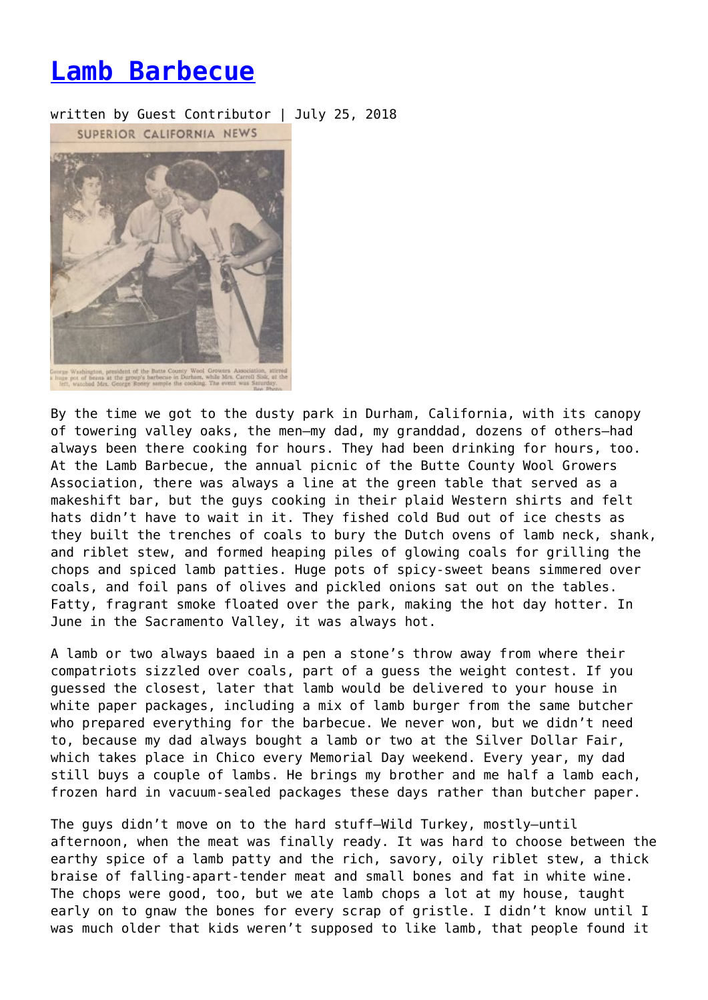## **[Lamb Barbecue](https://entropymag.org/lamb-barbecue/)**

written by Guest Contributor | July 25, 2018



By the time we got to the dusty park in Durham, California, with its canopy of towering valley oaks, the men—my dad, my granddad, dozens of others—had always been there cooking for hours. They had been drinking for hours, too. At the Lamb Barbecue, the annual picnic of the Butte County Wool Growers Association, there was always a line at the green table that served as a makeshift bar, but the guys cooking in their plaid Western shirts and felt hats didn't have to wait in it. They fished cold Bud out of ice chests as they built the trenches of coals to bury the Dutch ovens of lamb neck, shank, and riblet stew, and formed heaping piles of glowing coals for grilling the chops and spiced lamb patties. Huge pots of spicy-sweet beans simmered over coals, and foil pans of olives and pickled onions sat out on the tables. Fatty, fragrant smoke floated over the park, making the hot day hotter. In June in the Sacramento Valley, it was always hot.

A lamb or two always baaed in a pen a stone's throw away from where their compatriots sizzled over coals, part of a guess the weight contest. If you guessed the closest, later that lamb would be delivered to your house in white paper packages, including a mix of lamb burger from the same butcher who prepared everything for the barbecue. We never won, but we didn't need to, because my dad always bought a lamb or two at the Silver Dollar Fair, which takes place in Chico every Memorial Day weekend. Every year, my dad still buys a couple of lambs. He brings my brother and me half a lamb each, frozen hard in vacuum-sealed packages these days rather than butcher paper.

The guys didn't move on to the hard stuff—Wild Turkey, mostly—until afternoon, when the meat was finally ready. It was hard to choose between the earthy spice of a lamb patty and the rich, savory, oily riblet stew, a thick braise of falling-apart-tender meat and small bones and fat in white wine. The chops were good, too, but we ate lamb chops a lot at my house, taught early on to gnaw the bones for every scrap of gristle. I didn't know until I was much older that kids weren't supposed to like lamb, that people found it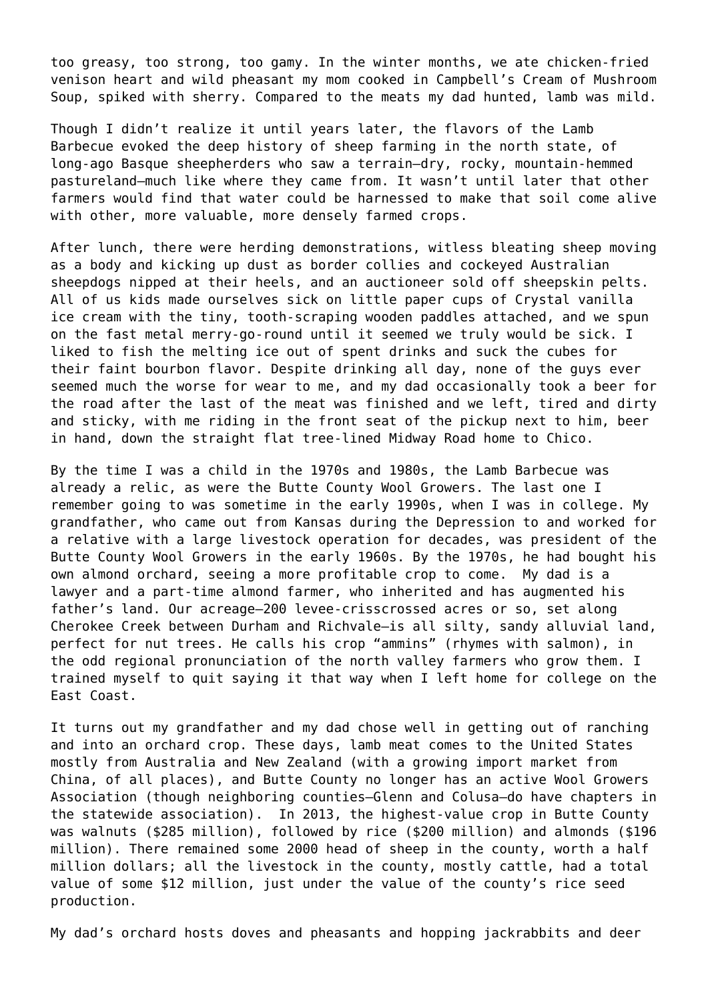too greasy, too strong, too gamy. In the winter months, we ate chicken-fried venison heart and wild pheasant my mom cooked in Campbell's Cream of Mushroom Soup, spiked with sherry. Compared to the meats my dad hunted, lamb was mild.

Though I didn't realize it until years later, the flavors of the Lamb Barbecue evoked the deep history of sheep farming in the north state, of long-ago Basque sheepherders who saw a terrain—dry, rocky, mountain-hemmed pastureland—much like where they came from. It wasn't until later that other farmers would find that water could be harnessed to make that soil come alive with other, more valuable, more densely farmed crops.

After lunch, there were herding demonstrations, witless bleating sheep moving as a body and kicking up dust as border collies and cockeyed Australian sheepdogs nipped at their heels, and an auctioneer sold off sheepskin pelts. All of us kids made ourselves sick on little paper cups of Crystal vanilla ice cream with the tiny, tooth-scraping wooden paddles attached, and we spun on the fast metal merry-go-round until it seemed we truly would be sick. I liked to fish the melting ice out of spent drinks and suck the cubes for their faint bourbon flavor. Despite drinking all day, none of the guys ever seemed much the worse for wear to me, and my dad occasionally took a beer for the road after the last of the meat was finished and we left, tired and dirty and sticky, with me riding in the front seat of the pickup next to him, beer in hand, down the straight flat tree-lined Midway Road home to Chico.

By the time I was a child in the 1970s and 1980s, the Lamb Barbecue was already a relic, as were the Butte County Wool Growers. The last one I remember going to was sometime in the early 1990s, when I was in college. My grandfather, who came out from Kansas during the Depression to and worked for a relative with a large livestock operation for decades, was president of the Butte County Wool Growers in the early 1960s. By the 1970s, he had bought his own almond orchard, seeing a more profitable crop to come. My dad is a lawyer and a part-time almond farmer, who inherited and has augmented his father's land. Our acreage—200 levee-crisscrossed acres or so, set along Cherokee Creek between Durham and Richvale—is all silty, sandy alluvial land, perfect for nut trees. He calls his crop "ammins" (rhymes with salmon), in the odd regional pronunciation of the north valley farmers who grow them. I trained myself to quit saying it that way when I left home for college on the East Coast.

It turns out my grandfather and my dad chose well in getting out of ranching and into an orchard crop. These days, lamb meat comes to the United States mostly from Australia and New Zealand (with a growing import market from China, of all places), and Butte County no longer has an active Wool Growers Association (though neighboring counties—Glenn and Colusa—do have chapters in the statewide association). In 2013, the highest-value crop in Butte County was walnuts (\$285 million), followed by rice (\$200 million) and almonds (\$196 million). There remained some 2000 head of sheep in the county, worth a half million dollars; all the livestock in the county, mostly cattle, had a total value of some \$12 million, just under the value of the county's rice seed production.

My dad's orchard hosts doves and pheasants and hopping jackrabbits and deer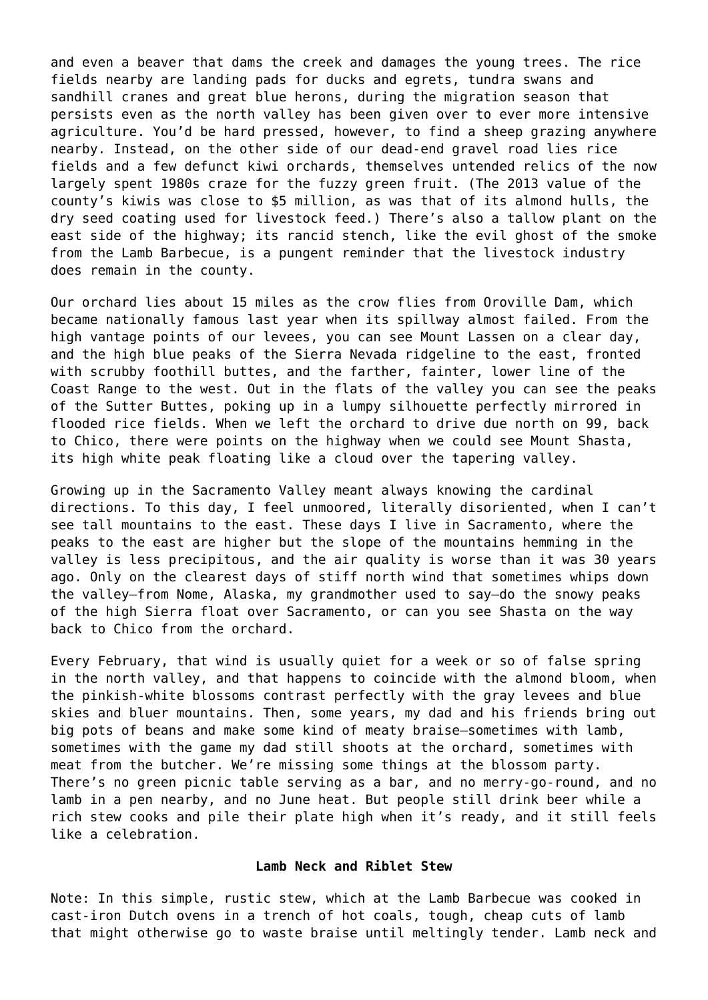and even a beaver that dams the creek and damages the young trees. The rice fields nearby are landing pads for ducks and egrets, tundra swans and sandhill cranes and great blue herons, during the migration season that persists even as the north valley has been given over to ever more intensive agriculture. You'd be hard pressed, however, to find a sheep grazing anywhere nearby. Instead, on the other side of our dead-end gravel road lies rice fields and a few defunct kiwi orchards, themselves untended relics of the now largely spent 1980s craze for the fuzzy green fruit. (The 2013 value of the county's kiwis was close to \$5 million, as was that of its almond hulls, the dry seed coating used for livestock feed.) There's also a tallow plant on the east side of the highway; its rancid stench, like the evil ghost of the smoke from the Lamb Barbecue, is a pungent reminder that the livestock industry does remain in the county.

Our orchard lies about 15 miles as the crow flies from Oroville Dam, which became nationally famous last year when its spillway almost failed. From the high vantage points of our levees, you can see Mount Lassen on a clear day, and the high blue peaks of the Sierra Nevada ridgeline to the east, fronted with scrubby foothill buttes, and the farther, fainter, lower line of the Coast Range to the west. Out in the flats of the valley you can see the peaks of the Sutter Buttes, poking up in a lumpy silhouette perfectly mirrored in flooded rice fields. When we left the orchard to drive due north on 99, back to Chico, there were points on the highway when we could see Mount Shasta, its high white peak floating like a cloud over the tapering valley.

Growing up in the Sacramento Valley meant always knowing the cardinal directions. To this day, I feel unmoored, literally disoriented, when I can't see tall mountains to the east. These days I live in Sacramento, where the peaks to the east are higher but the slope of the mountains hemming in the valley is less precipitous, and the air quality is worse than it was 30 years ago. Only on the clearest days of stiff north wind that sometimes whips down the valley—from Nome, Alaska, my grandmother used to say—do the snowy peaks of the high Sierra float over Sacramento, or can you see Shasta on the way back to Chico from the orchard.

Every February, that wind is usually quiet for a week or so of false spring in the north valley, and that happens to coincide with the almond bloom, when the pinkish-white blossoms contrast perfectly with the gray levees and blue skies and bluer mountains. Then, some years, my dad and his friends bring out big pots of beans and make some kind of meaty braise—sometimes with lamb, sometimes with the game my dad still shoots at the orchard, sometimes with meat from the butcher. We're missing some things at the blossom party. There's no green picnic table serving as a bar, and no merry-go-round, and no lamb in a pen nearby, and no June heat. But people still drink beer while a rich stew cooks and pile their plate high when it's ready, and it still feels like a celebration.

## **Lamb Neck and Riblet Stew**

Note: In this simple, rustic stew, which at the Lamb Barbecue was cooked in cast-iron Dutch ovens in a trench of hot coals, tough, cheap cuts of lamb that might otherwise go to waste braise until meltingly tender. Lamb neck and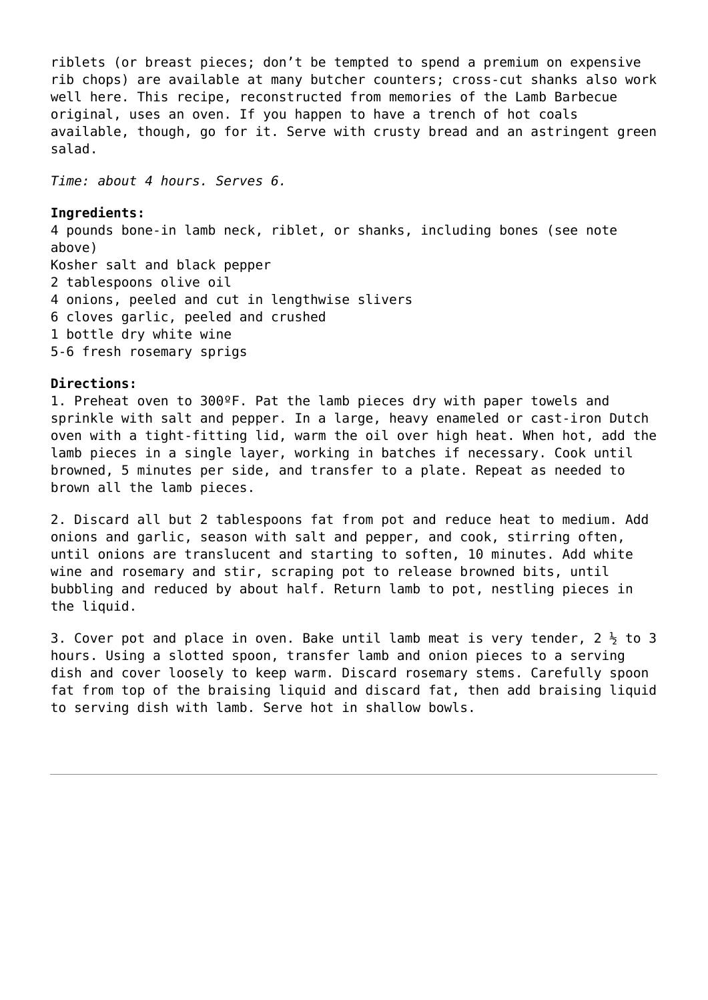riblets (or breast pieces; don't be tempted to spend a premium on expensive rib chops) are available at many butcher counters; cross-cut shanks also work well here. This recipe, reconstructed from memories of the Lamb Barbecue original, uses an oven. If you happen to have a trench of hot coals available, though, go for it. Serve with crusty bread and an astringent green salad.

*Time: about 4 hours. Serves 6.* 

## **Ingredients:**

4 pounds bone-in lamb neck, riblet, or shanks, including bones (see note above) Kosher salt and black pepper 2 tablespoons olive oil 4 onions, peeled and cut in lengthwise slivers 6 cloves garlic, peeled and crushed 1 bottle dry white wine 5-6 fresh rosemary sprigs

## **Directions:**

1. Preheat oven to 300ºF. Pat the lamb pieces dry with paper towels and sprinkle with salt and pepper. In a large, heavy enameled or cast-iron Dutch oven with a tight-fitting lid, warm the oil over high heat. When hot, add the lamb pieces in a single layer, working in batches if necessary. Cook until browned, 5 minutes per side, and transfer to a plate. Repeat as needed to brown all the lamb pieces.

2. Discard all but 2 tablespoons fat from pot and reduce heat to medium. Add onions and garlic, season with salt and pepper, and cook, stirring often, until onions are translucent and starting to soften, 10 minutes. Add white wine and rosemary and stir, scraping pot to release browned bits, until bubbling and reduced by about half. Return lamb to pot, nestling pieces in the liquid.

3. Cover pot and place in oven. Bake until lamb meat is very tender,  $2\frac{1}{2}$  to 3 hours. Using a slotted spoon, transfer lamb and onion pieces to a serving dish and cover loosely to keep warm. Discard rosemary stems. Carefully spoon fat from top of the braising liquid and discard fat, then add braising liquid to serving dish with lamb. Serve hot in shallow bowls.